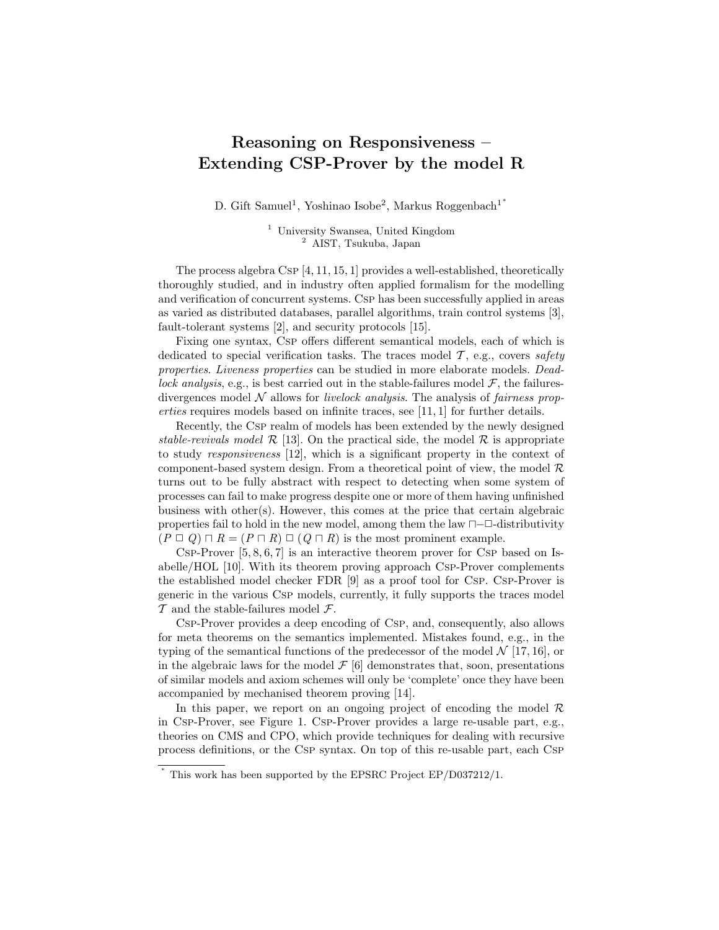## Reasoning on Responsiveness – Extending CSP-Prover by the model R

D. Gift Samuel<sup>1</sup>, Yoshinao Isobe<sup>2</sup>, Markus Roggenbach<sup>1\*</sup>

<sup>1</sup> University Swansea, United Kingdom <sup>2</sup> AIST, Tsukuba, Japan

The process algebra Csp [4, 11, 15, 1] provides a well-established, theoretically thoroughly studied, and in industry often applied formalism for the modelling and verification of concurrent systems. Csp has been successfully applied in areas as varied as distributed databases, parallel algorithms, train control systems [3], fault-tolerant systems [2], and security protocols [15].

Fixing one syntax, Csp offers different semantical models, each of which is dedicated to special verification tasks. The traces model  $\mathcal{T}$ , e.g., covers safety properties. Liveness properties can be studied in more elaborate models. Deadlock analysis, e.g., is best carried out in the stable-failures model  $\mathcal{F}$ , the failuresdivergences model  $N$  allows for *livelock analysis*. The analysis of *fairness prop*erties requires models based on infinite traces, see [11, 1] for further details.

Recently, the Csp realm of models has been extended by the newly designed stable-revivals model  $\mathcal{R}$  [13]. On the practical side, the model  $\mathcal{R}$  is appropriate to study responsiveness [12], which is a significant property in the context of component-based system design. From a theoretical point of view, the model  $\mathcal{R}$ turns out to be fully abstract with respect to detecting when some system of processes can fail to make progress despite one or more of them having unfinished business with other(s). However, this comes at the price that certain algebraic properties fail to hold in the new model, among them the law  $\Box$ - $\Box$ -distributivity  $(P \sqcup Q) \sqcap R = (P \sqcap R) \sqcup (Q \sqcap R)$  is the most prominent example.

CSP-Prover  $[5, 8, 6, 7]$  is an interactive theorem prover for CSP based on Isabelle/HOL [10]. With its theorem proving approach Csp-Prover complements the established model checker FDR [9] as a proof tool for Csp. Csp-Prover is generic in the various Csp models, currently, it fully supports the traces model  $\mathcal T$  and the stable-failures model  $\mathcal F$ .

Csp-Prover provides a deep encoding of Csp, and, consequently, also allows for meta theorems on the semantics implemented. Mistakes found, e.g., in the typing of the semantical functions of the predecessor of the model  $\mathcal{N}$  [17, 16], or in the algebraic laws for the model  $\mathcal{F}$  [6] demonstrates that, soon, presentations of similar models and axiom schemes will only be 'complete' once they have been accompanied by mechanised theorem proving [14].

In this paper, we report on an ongoing project of encoding the model  $\mathcal R$ in Csp-Prover, see Figure 1. Csp-Prover provides a large re-usable part, e.g., theories on CMS and CPO, which provide techniques for dealing with recursive process definitions, or the Csp syntax. On top of this re-usable part, each Csp

∗

This work has been supported by the EPSRC Project EP/D037212/1.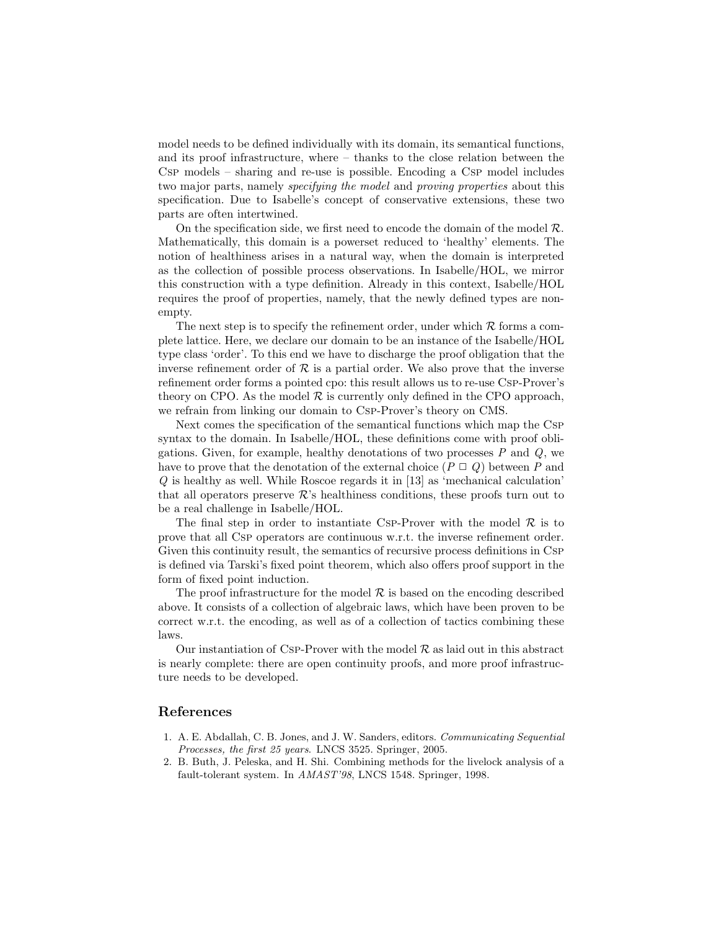model needs to be defined individually with its domain, its semantical functions, and its proof infrastructure, where – thanks to the close relation between the Csp models – sharing and re-use is possible. Encoding a Csp model includes two major parts, namely *specifying the model* and *proving properties* about this specification. Due to Isabelle's concept of conservative extensions, these two parts are often intertwined.

On the specification side, we first need to encode the domain of the model  $\mathcal{R}$ . Mathematically, this domain is a powerset reduced to 'healthy' elements. The notion of healthiness arises in a natural way, when the domain is interpreted as the collection of possible process observations. In Isabelle/HOL, we mirror this construction with a type definition. Already in this context, Isabelle/HOL requires the proof of properties, namely, that the newly defined types are nonempty.

The next step is to specify the refinement order, under which  $R$  forms a complete lattice. Here, we declare our domain to be an instance of the Isabelle/HOL type class 'order'. To this end we have to discharge the proof obligation that the inverse refinement order of  $\mathcal R$  is a partial order. We also prove that the inverse refinement order forms a pointed cpo: this result allows us to re-use Csp-Prover's theory on CPO. As the model  $\mathcal R$  is currently only defined in the CPO approach, we refrain from linking our domain to Csp-Prover's theory on CMS.

Next comes the specification of the semantical functions which map the Csp syntax to the domain. In Isabelle/HOL, these definitions come with proof obligations. Given, for example, healthy denotations of two processes  $P$  and  $Q$ , we have to prove that the denotation of the external choice  $(P \sqcup Q)$  between P and Q is healthy as well. While Roscoe regards it in [13] as 'mechanical calculation' that all operators preserve  $\mathcal{R}$ 's healthiness conditions, these proofs turn out to be a real challenge in Isabelle/HOL.

The final step in order to instantiate Csp-Prover with the model  $\mathcal R$  is to prove that all Csp operators are continuous w.r.t. the inverse refinement order. Given this continuity result, the semantics of recursive process definitions in Csp is defined via Tarski's fixed point theorem, which also offers proof support in the form of fixed point induction.

The proof infrastructure for the model  $R$  is based on the encoding described above. It consists of a collection of algebraic laws, which have been proven to be correct w.r.t. the encoding, as well as of a collection of tactics combining these laws.

Our instantiation of Csp-Prover with the model  $\mathcal R$  as laid out in this abstract is nearly complete: there are open continuity proofs, and more proof infrastructure needs to be developed.

## References

- 1. A. E. Abdallah, C. B. Jones, and J. W. Sanders, editors. Communicating Sequential Processes, the first 25 years. LNCS 3525. Springer, 2005.
- 2. B. Buth, J. Peleska, and H. Shi. Combining methods for the livelock analysis of a fault-tolerant system. In AMAST'98, LNCS 1548. Springer, 1998.